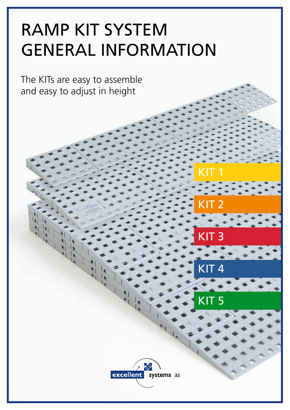## RAMP KIT SYSTEM GENERAL INFORMATION

The KITs are easy to assemble and easy to adjust in height



KIT 1

KIT 2

KIT 3

 $\overline{{\mathsf{KIT4}}}$ 

KIT 5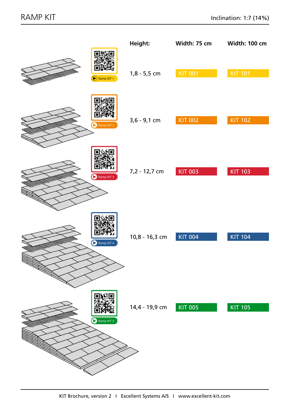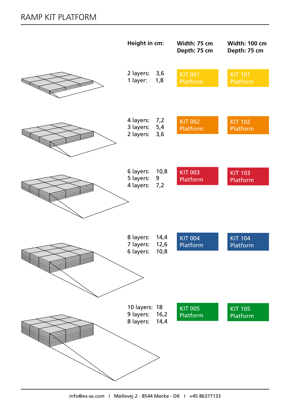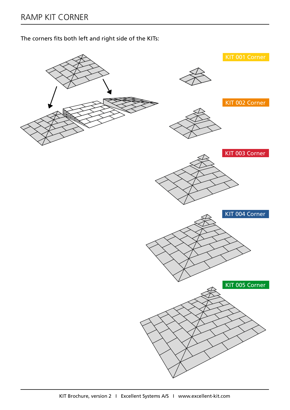The corners fits both left and right side of the KITs:

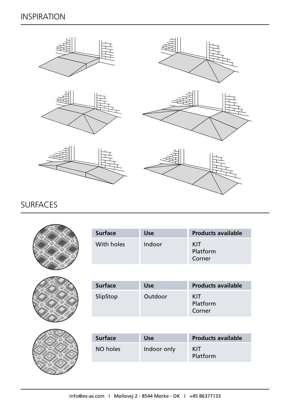## INSPIRATION



## SURFACES



| <b>Surface</b> | Use    | <b>Products available</b> |
|----------------|--------|---------------------------|
| With holes     | Indoor | KIT<br>Platform<br>Corner |



| <b>Surface</b> | <b>Use</b> | <b>Products available</b> |
|----------------|------------|---------------------------|
| SlipStop       | Outdoor    | KIT<br>Platform<br>Corner |



| <b>Surface</b> | <b>Use</b>  | <b>Products available</b> |
|----------------|-------------|---------------------------|
| NO holes       | Indoor only | KIT<br>Platform           |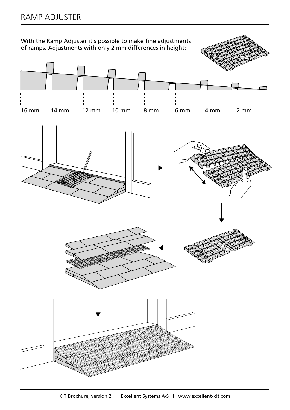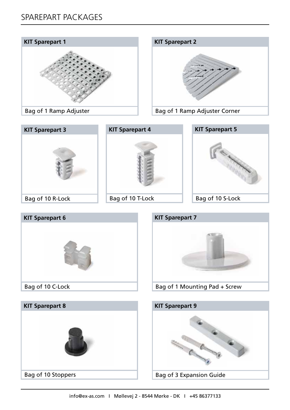



Bag of 1 Ramp Adjuster Corner





```
Bag of 10 T-Lock
```